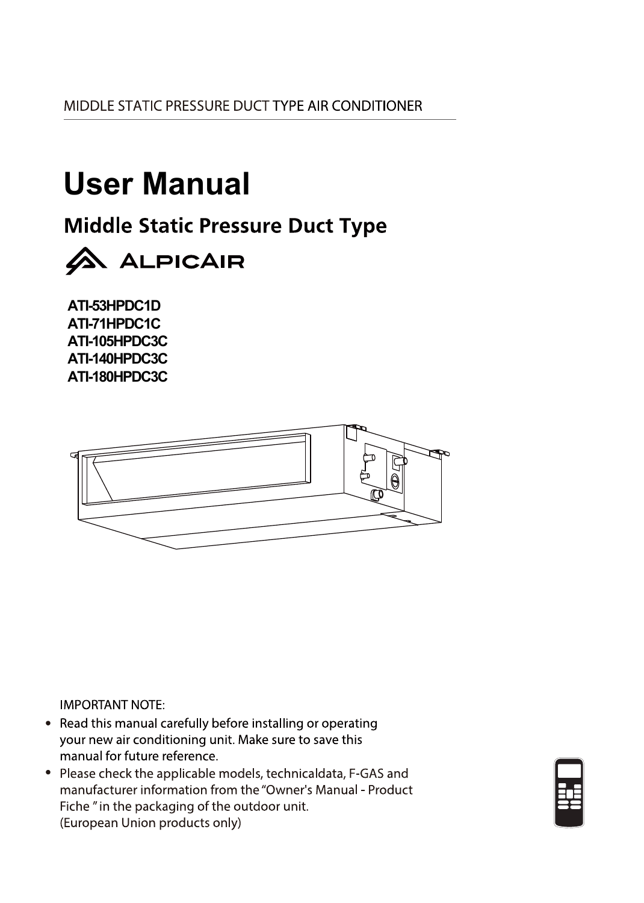MIDDLE STATIC PRESSURE DUCT TYPE AIR CONDITIONER

## **User Manual**

**Middle Static Pressure Duct Type** 



**ATI-53HPDC1D ATI-71HPDC1C ATI-105HPDC3C ATI-140HPDC3C ATI-180HPDC3C**



**IMPORTANT NOTE:** 

- Read this manual carefully before installing or operating your new air conditioning unit. Make sure to save this manual for future reference.
- Please check the applicable models, technicaldata, F-GAS and manufacturer information from the "Owner's Manual - Product Fiche" in the packaging of the outdoor unit. (European Union products only)

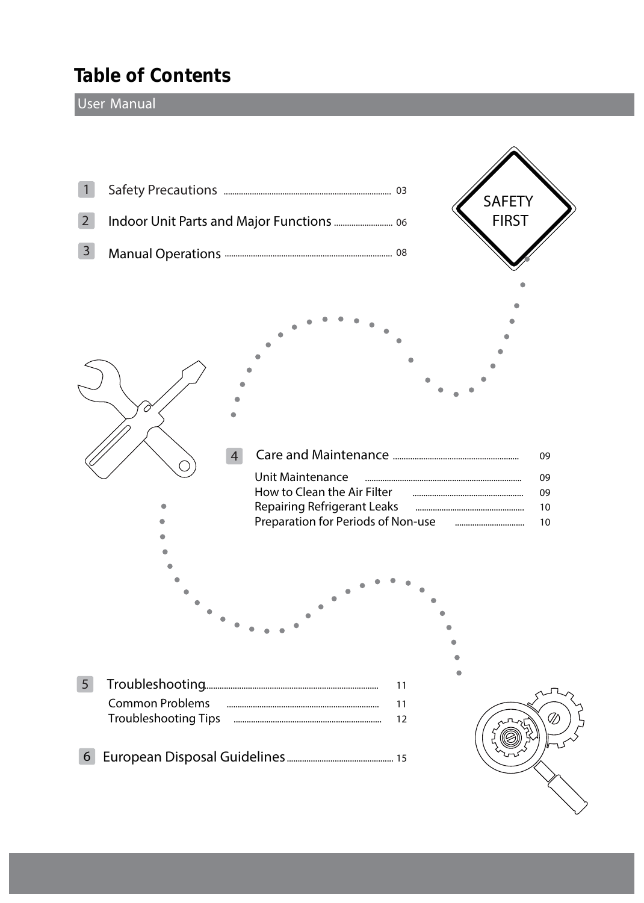## **Table of Contents**

#### **User Manual**

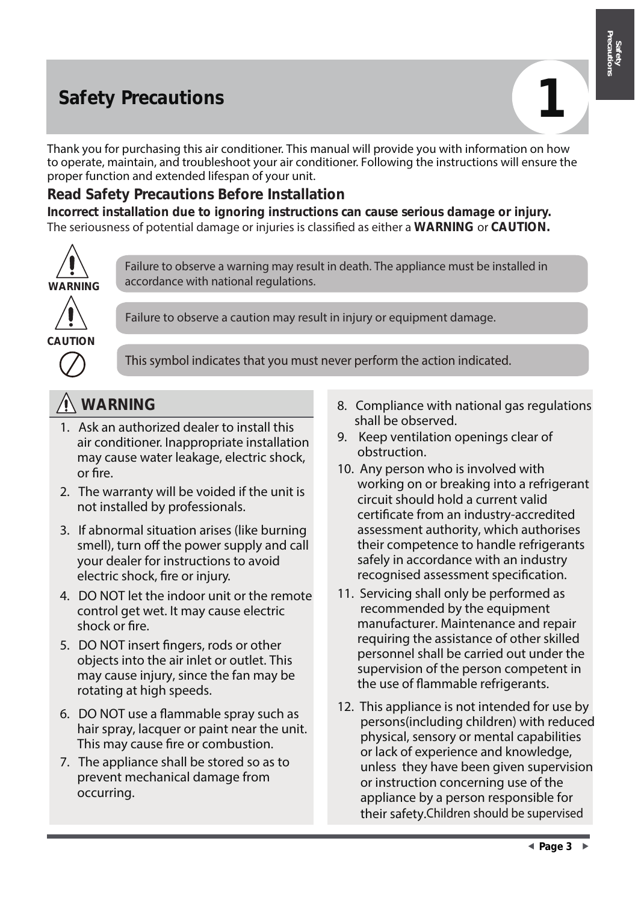## **Safety Precautions**



Satett

**Safety** 

Thank you for purchasing this air conditioner. This manual will provide you with information on how to operate, maintain, and troubleshoot your air conditioner. Following the instructions will ensure the proper function and extended lifespan of your unit.

### **Read Safety Precautions Before Installation**

**Incorrect installation due to ignoring instructions can cause serious damage or injury.**  The seriousness of potential damage or injuries is classified as either a **WARNING** or **CAUTION.**



Failure to observe a warning may result in death. The appliance must be installed in accordance with national regulations.



Failure to observe a caution may result in injury or equipment damage.



**This symbol indicates that you must never perform the action indicated.** 

- 1. Ask an authorized dealer to install this air conditioner. Inappropriate installation may cause water leakage, electric shock, or fire.
- 2. The warranty will be voided if the unit is not installed by professionals.
- 3. If abnormal situation arises (like burning smell), turn off the power supply and call your dealer for instructions to avoid electric shock, fire or injury.
- 4. DO NOT let the indoor unit or the remote control get wet. It may cause electric shock or fire.
- 5. DO NOT insert fingers, rods or other objects into the air inlet or outlet. This may cause injury, since the fan may be rotating at high speeds.
- 6. DO NOT use a flammable spray such as hair spray, lacquer or paint near the unit. This may cause fire or combustion.
- 7. The appliance shall be stored so as to prevent mechanical damage from occurring.
- **WARNING** 8. Compliance with national gas regulations shall be observed.
	- 9. Keep ventilation openings clear of obstruction.
	- 10. Any person who is involved with working on or breaking into a refrigerant circuit should hold a current valid certificate from an industry-accredited assessment authority, which authorises their competence to handle refrigerants safely in accordance with an industry recognised assessment specification.
	- 11. Servicing shall only be performed as recommended by the equipment manufacturer. Maintenance and repair requiring the assistance of other skilled personnel shall be carried out under the supervision of the person competent in the use of flammable refrigerants.
	- 12. This appliance is not intended for use by persons(including children) with reduced physical, sensory or mental capabilities or lack of experience and knowledge, unless they have been given supervision or instruction concerning use of the appliance by a person responsible for their safety.Children should be supervised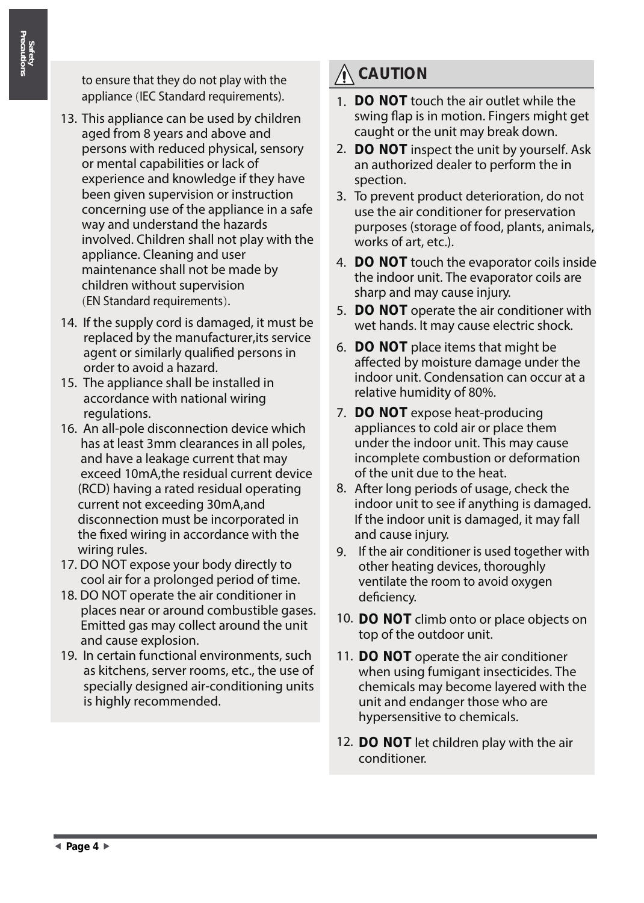to ensure that they do not play with the appliance (IEC Standard requirements).

- 13. This appliance can be used by children aged from 8 years and above and persons with reduced physical, sensory or mental capabilities or lack of experience and knowledge if they have been given supervision or instruction concerning use of the appliance in a safe way and understand the hazards involved. Children shall not play with the appliance. Cleaning and user maintenance shall not be made by children without supervision (EN Standard requirements).
- 14. If the supply cord is damaged, it must be replaced by the manufacturer,its service agent or similarly qualified persons in order to avoid a hazard.
- 15. The appliance shall be installed in accordance with national wiring regulations.
- 16. An all-pole disconnection device which has at least 3mm clearances in all poles, and have a leakage current that may exceed 10mA,the residual current device (RCD) having a rated residual operating current not exceeding 30mA,and disconnection must be incorporated in the fixed wiring in accordance with the wiring rules.
- 17. DO NOT expose your body directly to cool air for a prolonged period of time.
- 18. DO NOT operate the air conditioner in places near or around combustible gases. Emitted gas may collect around the unit and cause explosion.
- 19. In certain functional environments, such as kitchens, server rooms, etc., the use of specially designed air-conditioning units is highly recommended.

## **CAUTION**

- **DO NOT** touch the air outlet while the 1. swing flap is in motion. Fingers might get caught or the unit may break down.
- **DO NOT** inspect the unit by yourself. Ask 2. an authorized dealer to perform the in spection.
- 3. To prevent product deterioration, do not use the air conditioner for preservation purposes (storage of food, plants, animals, works of art, etc.).
- **DO NOT** touch the evaporator coils inside 4. the indoor unit. The evaporator coils are sharp and may cause injury.
- **DO NOT** operate the air conditioner with 5. wet hands. It may cause electric shock.
- **DO NOT** place items that might be 6. affected by moisture damage under the indoor unit. Condensation can occur at a relative humidity of 80%.
- 7. DO NOT expose heat-producing appliances to cold air or place them under the indoor unit. This may cause incomplete combustion or deformation of the unit due to the heat.
- 8. After long periods of usage, check the indoor unit to see if anything is damaged. If the indoor unit is damaged, it may fall and cause injury.
- 9. If the air conditioner is used together with other heating devices, thoroughly ventilate the room to avoid oxygen deficiency.
- 10. DO NOT climb onto or place objects on top of the outdoor unit.
- 11. DO NOT operate the air conditioner when using fumigant insecticides. The chemicals may become layered with the unit and endanger those who are hypersensitive to chemicals.
- 12. DO NOT let children play with the air conditioner.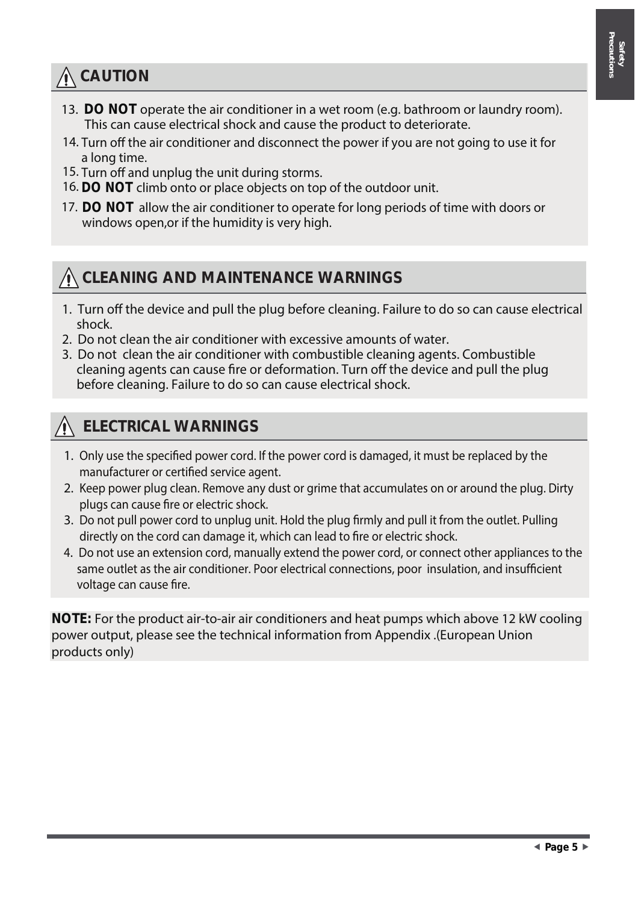## **CAUTION**

- 13. **DO NOT** operate the air conditioner in a wet room (e.g. bathroom or laundry room). This can cause electrical shock and cause the product to deteriorate.
- 14. Turn off the air conditioner and disconnect the power if you are not going to use it for a long time.
- 15. Turn off and unplug the unit during storms.
- 16. DO NOT climb onto or place objects on top of the outdoor unit.
- 17. DO NOT allow the air conditioner to operate for long periods of time with doors or windows open,or if the humidity is very high.

## **CLEANING AND MAINTENANCE WARNINGS**

- 1. Turn off the device and pull the plug before cleaning. Failure to do so can cause electrical shock.
- 2. Do not clean the air conditioner with excessive amounts of water.
- 3. Do not clean the air conditioner with combustible cleaning agents. Combustible cleaning agents can cause fire or deformation. Turn off the device and pull the plug before cleaning. Failure to do so can cause electrical shock.

## **ELECTRICAL WARNINGS**

- 1. Only use the specified power cord. If the power cord is damaged, it must be replaced by the manufacturer or certified service agent.
- 2. Keep power plug clean. Remove any dust or grime that accumulates on or around the plug. Dirty plugs can cause fire or electric shock.
- 3. Do not pull power cord to unplug unit. Hold the plug firmly and pull it from the outlet. Pulling directly on the cord can damage it, which can lead to fire or electric shock.
- 4. Do not use an extension cord, manually extend the power cord, or connect other appliances to the same outlet as the air conditioner. Poor electrical connections, poor insulation, and insufficient voltage can cause fire.

**NOTE:** For the product air-to-air air conditioners and heat pumps which above 12 kW cooling power output, please see the technical information from Appendix .(European Union products only)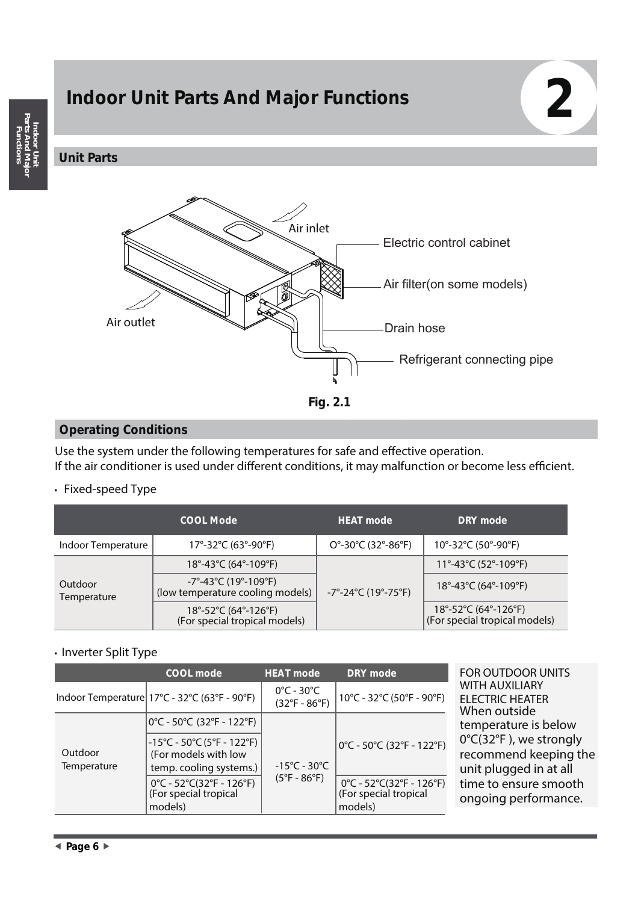# **Indoor Unit Parts And Major Functions 2**

#### **Unit Parts**



#### **Operating Conditions**

Use the system under the following temperatures for safe and effective operation. If the air conditioner is used under different conditions, it may malfunction or become less efficient.

#### • **Fixed-speed Type**

|                               | <b>COOL Mode</b>                                                                                  | <b>HEAT mode</b>                                               | DRY mode                                                      |
|-------------------------------|---------------------------------------------------------------------------------------------------|----------------------------------------------------------------|---------------------------------------------------------------|
| Indoor Temperature            | 17°-32°C (63°-90°F)                                                                               | $O^{\circ}$ -30 $^{\circ}$ C (32 $^{\circ}$ -86 $^{\circ}$ F)  | 10°-32°C (50°-90°F)                                           |
|                               | 18°-43°C (64°-109°F)                                                                              |                                                                | 11°-43°C (52°-109°F)                                          |
| Outdoor<br><b>Temperature</b> | $-7^{\circ} - 43^{\circ}$ C (19 $^{\circ}$ -109 $^{\circ}$ F)<br>(low temperature cooling models) | $-7^{\circ}$ -24 $^{\circ}$ C (19 $^{\circ}$ -75 $^{\circ}$ F) | $18^{\circ} - 43^{\circ}$ C (64 $^{\circ}$ -109 $^{\circ}$ F) |
|                               | 18°-52°C (64°-126°F)<br>(For special tropical models)                                             |                                                                | 18°-52°C (64°-126°F)<br>(For special tropical models)         |

#### • **Inverter Split Type**

|                        | COOL mode                                                                                                                | <b>HEAT mode</b>                                                 | <b>DRY</b> mode                                              |  |
|------------------------|--------------------------------------------------------------------------------------------------------------------------|------------------------------------------------------------------|--------------------------------------------------------------|--|
|                        | Indoor Temperature $17^{\circ}$ C - 32°C (63°F - 90°F)                                                                   | $0^{\circ}$ C - 30 $^{\circ}$ C<br>$(32^{\circ}F - 86^{\circ}F)$ | 10°C - 32°C (50°F - 90°F)                                    |  |
|                        | 0℃ - 50℃ (32℉ - 122℉)                                                                                                    |                                                                  |                                                              |  |
| Outdoor<br>Temperature | $-15^{\circ}$ C - 50 $^{\circ}$ C (5 $^{\circ}$ F - 122 $^{\circ}$ F)<br>(For models with low<br>temp. cooling systems.) | $-15^{\circ}$ C - 30 $^{\circ}$ C                                | 0°C - 50°C (32°F - 122°F)                                    |  |
|                        | 0°C - 52°C(32°F - 126°F)<br>(For special tropical<br>models)                                                             | $(5^{\circ}F - 86^{\circ}F)$                                     | 0°C - 52°C(32°F - 126°F)<br>(For special tropical<br>models) |  |

*OR OUTDOOR UNITS* **WITH AUXILIARY ELECTRIC HEATER** When outside emperature is below °C(32°F), we strongly ecommend keeping the nit plugged in at all me to ensure smooth ngoing performance.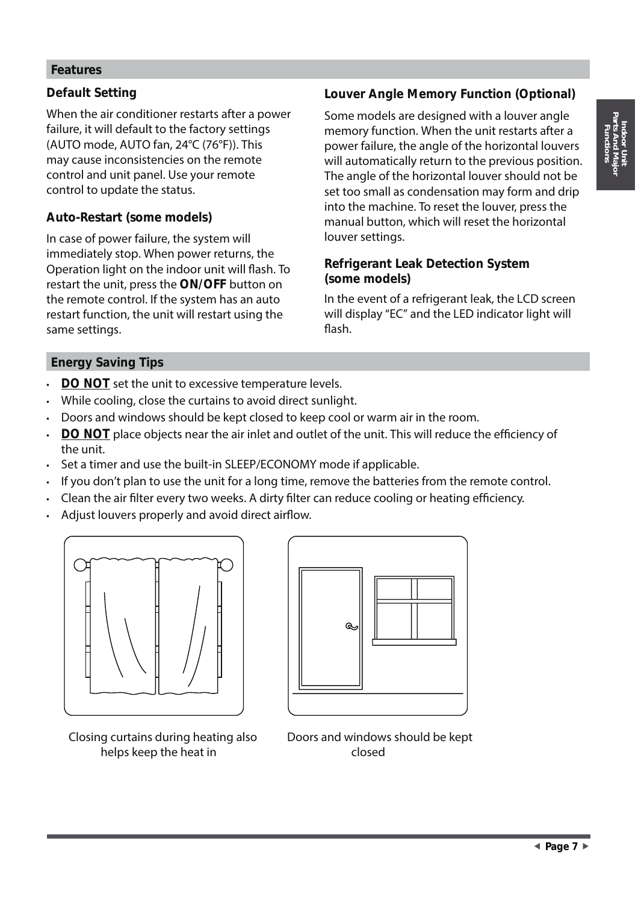#### **Features**

#### **Default Setting**

When the air conditioner restarts after a power failure, it will default to the factory settings (AUTO mode, AUTO fan, 24°C (76°F)). This may cause inconsistencies on the remote control and unit panel. Use your remote control to update the status.

#### **Auto-Restart (some models)**

In case of power failure, the system will immediately stop. When power returns, the Operation light on the indoor unit will flash. To restart the unit, press the **ON/OFF** button on the remote control. If the system has an auto restart function, the unit will restart using the same settings.

#### **Louver Angle Memory Function (Optional)**

Some models are designed with a louver angle memory function. When the unit restarts after a power failure, the angle of the horizontal louvers will automatically return to the previous position. The angle of the horizontal louver should not be set too small as condensation may form and drip into the machine. To reset the louver, press the manual button, which will reset the horizontal louver settings.

#### **Refrigerant Leak Detection System (some models)**

In the event of a refrigerant leak, the LCD screen will display "EC" and the LED indicator light will flash.

#### **Energy Saving Tips**

- **DO NOT** set the unit to excessive temperature levels.
- While cooling, close the curtains to avoid direct sunlight.
- Doors and windows should be kept closed to keep cool or warm air in the room.
- **DO NOT** place objects near the air inlet and outlet of the unit. This will reduce the efficiency of the unit.
- Set a timer and use the built-in SLEEP/ECONOMY mode if applicable.
- If you don't plan to use the unit for a long time, remove the batteries from the remote control.
- Clean the air filter every two weeks. A dirty filter can reduce cooling or heating efficiency.
- Adjust louvers properly and avoid direct airflow.



Closing curtains during heating also helps keep the heat in



Doors and windows should be kept closed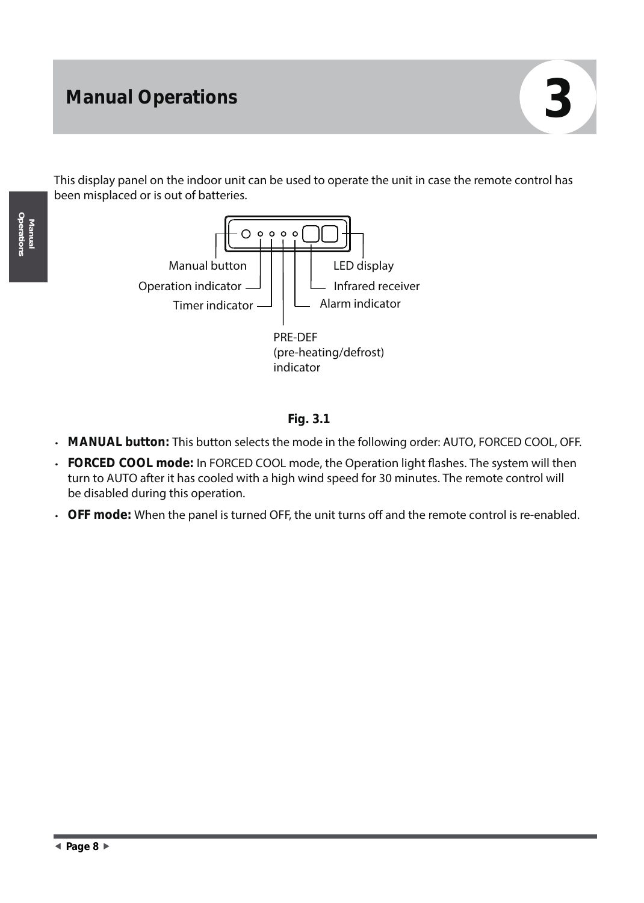This display panel on the indoor unit can be used to operate the unit in case the remote control has been misplaced or is out of batteries.





- **MANUAL button:** This button selects the mode in the following order: AUTO, FORCED COOL, OFF.
- **FORCED COOL mode:** In FORCED COOL mode, the Operation light flashes. The system will then turn to AUTO after it has cooled with a high wind speed for 30 minutes. The remote control will be disabled during this operation.
- OFF mode: When the panel is turned OFF, the unit turns off and the remote control is re-enabled.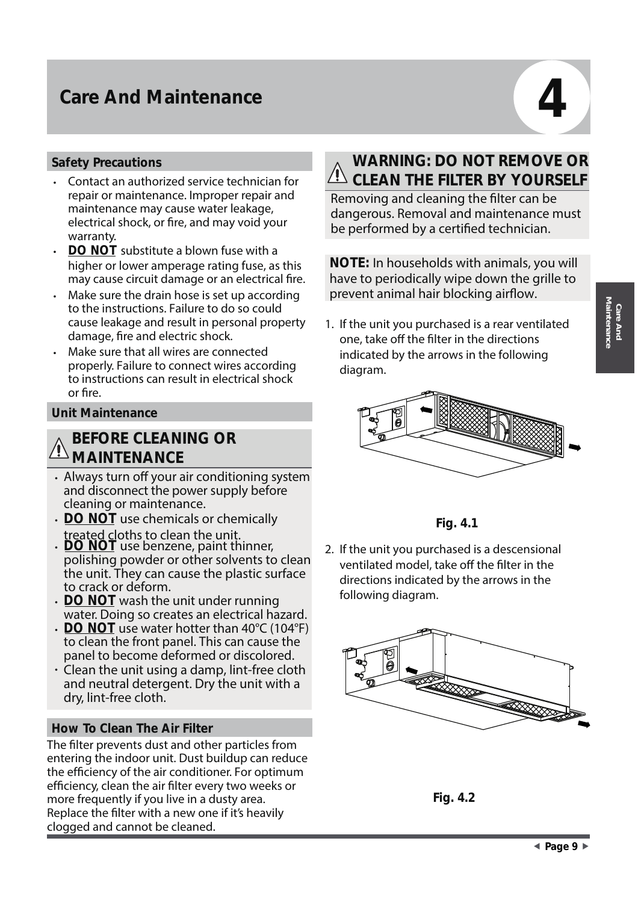## **Care And Maintenance**

#### **Safety Precautions**

- Contact an authorized service technician for repair or maintenance. Improper repair and maintenance may cause water leakage, electrical shock, or fire, and may void your warranty.
- **DO NOT** substitute a blown fuse with a higher or lower amperage rating fuse, as this may cause circuit damage or an electrical fire.
- Make sure the drain hose is set up according to the instructions. Failure to do so could cause leakage and result in personal property damage, fire and electric shock.
- Make sure that all wires are connected properly. Failure to connect wires according to instructions can result in electrical shock or fire.

#### **Unit Maintenance**

#### **BEFORE CLEANING OR MAINTENANCE**

- Always turn off your air conditioning system and disconnect the power supply before cleaning or maintenance.
- **DO NOT** use chemicals or chemically
- treated cloths to clean the unit. **DO NOT** use benzene, paint thinner, polishing powder or other solvents to clean the unit. They can cause the plastic surface to crack or deform.
- **DO NOT** wash the unit under running water. Doing so creates an electrical hazard.
- **DO NOT** use water hotter than 40°C (104°F) to clean the front panel. This can cause the panel to become deformed or discolored.
- $\cdot$  Clean the unit using a damp, lint-free cloth and neutral detergent. Dry the unit with a dry, lint-free cloth.

#### **How To Clean The Air Filter**

The filter prevents dust and other particles from entering the indoor unit. Dust buildup can reduce the efficiency of the air conditioner. For optimum efficiency, clean the air filter every two weeks or more frequently if you live in a dusty area. Replace the filter with a new one if it's heavily clogged and cannot be cleaned.

## **WARNING: DO NOT REMOVE OR CLEAN THE FILTER BY YOURSELF**

Removing and cleaning the filter can be dangerous. Removal and maintenance must be performed by a certified technician.

**NOTE:** In households with animals, you will have to periodically wipe down the grille to prevent animal hair blocking airflow.

Maintenance and the state of the unit you purchased is a rear ventilated<br>
one, take off the filter in the directions one, take off the filter in the directions indicated by the arrows in the following diagram.



**Fig. 4.1**

2. If the unit you purchased is a descensional ventilated model, take off the filter in the directions indicated by the arrows in the following diagram.



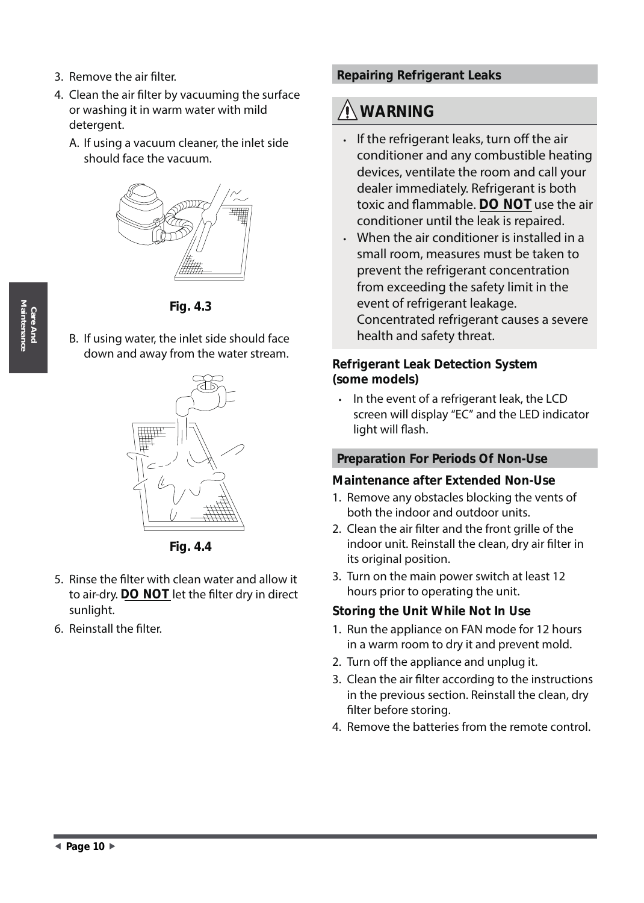- 3. Remove the air filter.
- 4. Clean the air filter by vacuuming the surface or washing it in warm water with mild detergent.
	- A. If using a vacuum cleaner, the inlet side should face the vacuum.



**Fig. 4.3**

B. If using water, the inlet side should face down and away from the water stream.



**Fig. 4.4**

- 5. Rinse the filter with clean water and allow it to air-dry. **DO NOT** let the filter dry in direct sunlight.
- 6. Reinstall the filter.

#### **Repairing Refrigerant Leaks**

## **WARNING**

- $\cdot$  If the refrigerant leaks, turn off the air conditioner and any combustible heating devices, ventilate the room and call your dealer immediately. Refrigerant is both toxic and flammable. **DO NOT** use the air conditioner until the leak is repaired.
- When the air conditioner is installed in a small room, measures must be taken to prevent the refrigerant concentration from exceeding the safety limit in the event of refrigerant leakage. Concentrated refrigerant causes a severe health and safety threat.

#### **Refrigerant Leak Detection System (some models)**

• In the event of a refrigerant leak, the LCD screen will display "EC" and the LED indicator light will flash.

#### **Preparation For Periods Of Non-Use**

#### **Maintenance after Extended Non-Use**

- 1. Remove any obstacles blocking the vents of both the indoor and outdoor units.
- 2. Clean the air filter and the front grille of the indoor unit. Reinstall the clean, dry air filter in its original position.
- 3. Turn on the main power switch at least 12 hours prior to operating the unit.

#### **Storing the Unit While Not In Use**

- 1. Run the appliance on FAN mode for 12 hours in a warm room to dry it and prevent mold.
- 2. Turn off the appliance and unplug it.
- 3. Clean the air filter according to the instructions in the previous section. Reinstall the clean, dry filter before storing.
- 4. Remove the batteries from the remote control.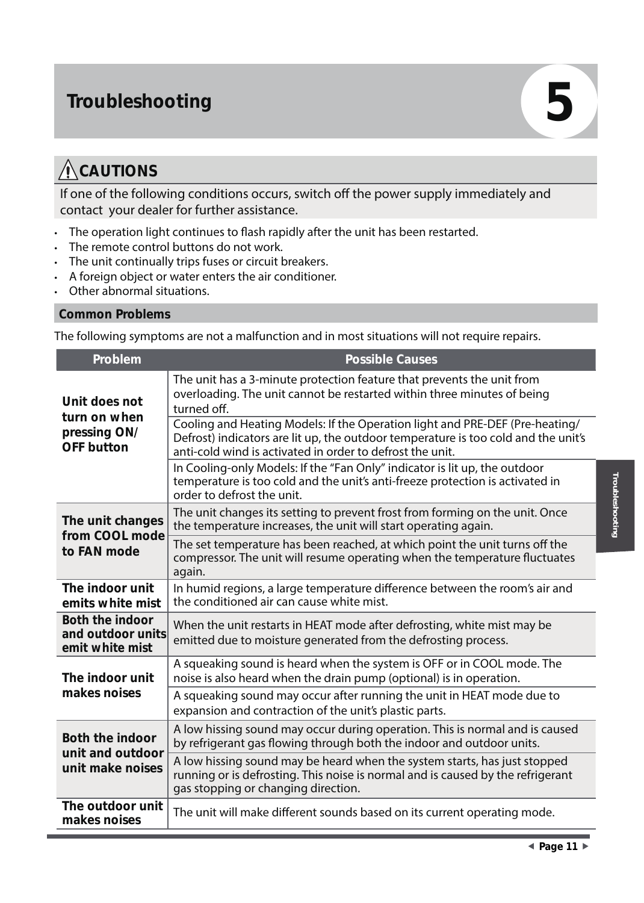## **Troubleshooting 5**

## **CAUTIONS**

If one of the following conditions occurs, switch off the power supply immediately and contact your dealer for further assistance.

- The operation light continues to flash rapidly after the unit has been restarted.
- The remote control buttons do not work.
- The unit continually trips fuses or circuit breakers.
- A foreign object or water enters the air conditioner.
- Other abnormal situations.

#### **Common Problems**

The following symptoms are not a malfunction and in most situations will not require repairs.

| Problem                                                        | <b>Possible Causes</b>                                                                                                                                                                                                          |
|----------------------------------------------------------------|---------------------------------------------------------------------------------------------------------------------------------------------------------------------------------------------------------------------------------|
| Unit does not<br>turn on when                                  | The unit has a 3-minute protection feature that prevents the unit from<br>overloading. The unit cannot be restarted within three minutes of being<br>turned off.                                                                |
| pressing ON/<br><b>OFF</b> button                              | Cooling and Heating Models: If the Operation light and PRE-DEF (Pre-heating/<br>Defrost) indicators are lit up, the outdoor temperature is too cold and the unit's<br>anti-cold wind is activated in order to defrost the unit. |
|                                                                | In Cooling-only Models: If the "Fan Only" indicator is lit up, the outdoor<br>temperature is too cold and the unit's anti-freeze protection is activated in<br>order to defrost the unit.                                       |
| The unit changes<br>from COOL mode<br>to FAN mode              | The unit changes its setting to prevent frost from forming on the unit. Once<br>the temperature increases, the unit will start operating again.                                                                                 |
|                                                                | The set temperature has been reached, at which point the unit turns off the<br>compressor. The unit will resume operating when the temperature fluctuates<br>again.                                                             |
| The indoor unit<br>emits white mist                            | In humid regions, a large temperature difference between the room's air and<br>the conditioned air can cause white mist.                                                                                                        |
| Both the indoor<br>and outdoor units<br>emit white mist        | When the unit restarts in HEAT mode after defrosting, white mist may be<br>emitted due to moisture generated from the defrosting process.                                                                                       |
| The indoor unit                                                | A squeaking sound is heard when the system is OFF or in COOL mode. The<br>noise is also heard when the drain pump (optional) is in operation.                                                                                   |
| makes noises                                                   | A squeaking sound may occur after running the unit in HEAT mode due to<br>expansion and contraction of the unit's plastic parts.                                                                                                |
| <b>Both the indoor</b><br>unit and outdoor<br>unit make noises | A low hissing sound may occur during operation. This is normal and is caused<br>by refrigerant gas flowing through both the indoor and outdoor units.                                                                           |
|                                                                | A low hissing sound may be heard when the system starts, has just stopped<br>running or is defrosting. This noise is normal and is caused by the refrigerant<br>gas stopping or changing direction.                             |
| The outdoor unit<br>makes noises                               | The unit will make different sounds based on its current operating mode.                                                                                                                                                        |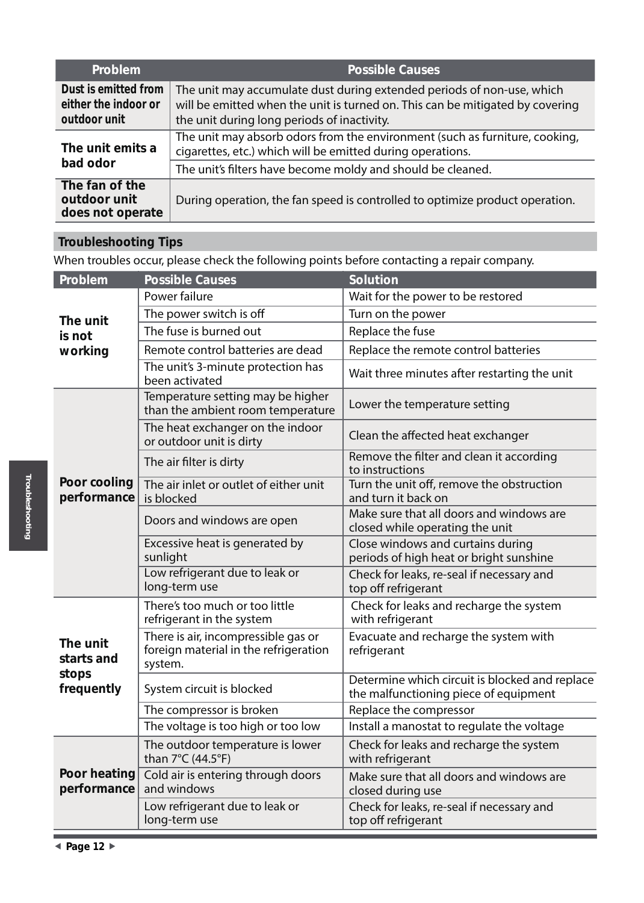| <b>Problem</b>                                               | <b>Possible Causes</b>                                                                                                                                                                                 |
|--------------------------------------------------------------|--------------------------------------------------------------------------------------------------------------------------------------------------------------------------------------------------------|
| Dust is emitted from<br>either the indoor or<br>outdoor unit | The unit may accumulate dust during extended periods of non-use, which<br>will be emitted when the unit is turned on. This can be mitigated by covering<br>the unit during long periods of inactivity. |
| The unit emits a<br>bad odor                                 | The unit may absorb odors from the environment (such as furniture, cooking,<br>cigarettes, etc.) which will be emitted during operations.                                                              |
|                                                              | The unit's filters have become moldy and should be cleaned.                                                                                                                                            |
| The fan of the<br>outdoor unit<br>does not operate           | During operation, the fan speed is controlled to optimize product operation.                                                                                                                           |

## **Troubleshooting Tips**

When troubles occur, please check the following points before contacting a repair company.

| Problem                                       | <b>Possible Causes</b>                                                                  | Solution                                                                                |
|-----------------------------------------------|-----------------------------------------------------------------------------------------|-----------------------------------------------------------------------------------------|
| The unit<br>is not                            | Power failure                                                                           | Wait for the power to be restored                                                       |
|                                               | The power switch is off                                                                 | Turn on the power                                                                       |
|                                               | The fuse is burned out                                                                  | Replace the fuse                                                                        |
| working                                       | Remote control batteries are dead                                                       | Replace the remote control batteries                                                    |
|                                               | The unit's 3-minute protection has<br>been activated                                    | Wait three minutes after restarting the unit                                            |
|                                               | Temperature setting may be higher<br>than the ambient room temperature                  | Lower the temperature setting                                                           |
|                                               | The heat exchanger on the indoor<br>or outdoor unit is dirty                            | Clean the affected heat exchanger                                                       |
| Poor cooling<br>performance                   | The air filter is dirty                                                                 | Remove the filter and clean it according<br>to instructions                             |
|                                               | The air inlet or outlet of either unit<br>is blocked                                    | Turn the unit off, remove the obstruction<br>and turn it back on                        |
|                                               | Doors and windows are open                                                              | Make sure that all doors and windows are<br>closed while operating the unit             |
|                                               | Excessive heat is generated by<br>sunlight                                              | Close windows and curtains during<br>periods of high heat or bright sunshine            |
|                                               | Low refrigerant due to leak or<br>long-term use                                         | Check for leaks, re-seal if necessary and<br>top off refrigerant                        |
| The unit<br>starts and<br>stops<br>frequently | There's too much or too little<br>refrigerant in the system                             | Check for leaks and recharge the system<br>with refrigerant                             |
|                                               | There is air, incompressible gas or<br>foreign material in the refrigeration<br>system. | Evacuate and recharge the system with<br>refrigerant                                    |
|                                               | System circuit is blocked                                                               | Determine which circuit is blocked and replace<br>the malfunctioning piece of equipment |
|                                               | The compressor is broken                                                                | Replace the compressor                                                                  |
|                                               | The voltage is too high or too low                                                      | Install a manostat to regulate the voltage                                              |
|                                               | The outdoor temperature is lower<br>than 7°C (44.5°F)                                   | Check for leaks and recharge the system<br>with refrigerant                             |
| Poor heating<br>performance                   | Cold air is entering through doors<br>and windows                                       | Make sure that all doors and windows are<br>closed during use                           |
|                                               | Low refrigerant due to leak or<br>long-term use                                         | Check for leaks, re-seal if necessary and<br>top off refrigerant                        |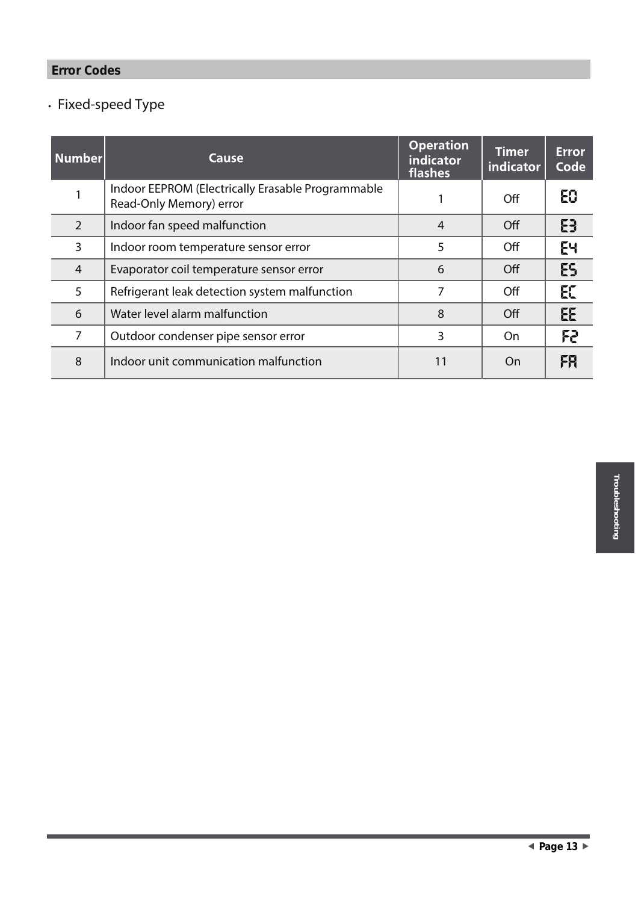## **Error Codes**

## • **Fixed-speed Type**

| <b>Number</b> | Cause                                                                        | <b>Operation</b><br><b>indicator</b><br>flashes | <b>Timer</b><br>indicator | <b>Error</b><br>Code |
|---------------|------------------------------------------------------------------------------|-------------------------------------------------|---------------------------|----------------------|
|               | Indoor EEPROM (Electrically Erasable Programmable<br>Read-Only Memory) error |                                                 | Off                       | Е0                   |
| 2             | Indoor fan speed malfunction                                                 | 4                                               | Off                       | ΕĐ                   |
| 3             | Indoor room temperature sensor error                                         | 5                                               | Off                       | EЧ                   |
| 4             | Evaporator coil temperature sensor error                                     | 6                                               | Off                       | ES                   |
| 5             | Refrigerant leak detection system malfunction                                | 7                                               | Off                       | E                    |
| 6             | Water level alarm malfunction                                                | 8                                               | Off                       | EE                   |
|               | Outdoor condenser pipe sensor error                                          | 3                                               | On.                       | F2.                  |
| 8             | Indoor unit communication malfunction                                        | 11                                              | On                        | FH                   |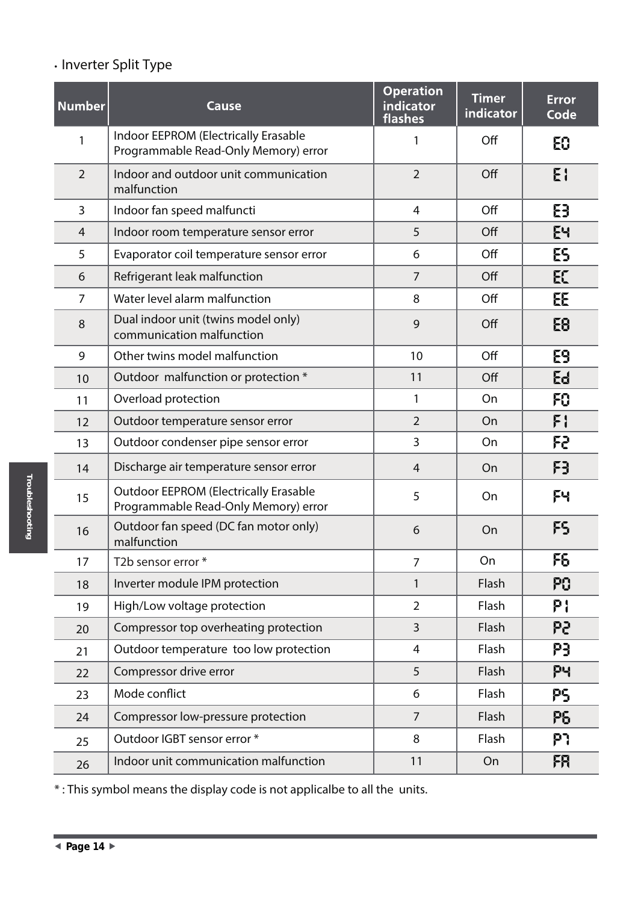## • **Inverter Split Type**

| <b>Number</b>  | Cause                                                                                | <b>Operation</b><br>indicator<br>flashes | <b>Timer</b><br>indicator | <b>Error</b><br>Code |
|----------------|--------------------------------------------------------------------------------------|------------------------------------------|---------------------------|----------------------|
|                | Indoor EEPROM (Electrically Erasable<br>Programmable Read-Only Memory) error         |                                          | Off                       | 60                   |
| 2              | Indoor and outdoor unit communication<br>malfunction                                 | $\overline{2}$                           | Off                       | EI                   |
| 3              | Indoor fan speed malfuncti                                                           | 4                                        | Off                       | 8                    |
| $\overline{4}$ | Indoor room temperature sensor error                                                 | 5                                        | Off                       | EЧ                   |
| 5              | Evaporator coil temperature sensor error                                             | 6                                        | Off                       | ES                   |
| 6              | Refrigerant leak malfunction                                                         | $\overline{7}$                           | Off                       | E                    |
| $\overline{7}$ | Water level alarm malfunction                                                        | 8                                        | Off                       | EE.                  |
| 8              | Dual indoor unit (twins model only)<br>communication malfunction                     | 9                                        | Off                       | 68                   |
| 9              | Other twins model malfunction                                                        | 10                                       | Off                       | E9                   |
| 10             | Outdoor malfunction or protection *                                                  | 11                                       | Off                       | Ed                   |
| 11             | Overload protection                                                                  | 1                                        | On                        | FO                   |
| 12             | Outdoor temperature sensor error                                                     | $\overline{2}$                           | On                        | FI                   |
| 13             | Outdoor condenser pipe sensor error                                                  | 3                                        | On                        | 52                   |
| 14             | Discharge air temperature sensor error                                               | $\overline{4}$                           | On                        | FÐ                   |
| 15             | <b>Outdoor EEPROM (Electrically Erasable</b><br>Programmable Read-Only Memory) error | 5                                        | On                        | FЧ                   |
| 16             | Outdoor fan speed (DC fan motor only)<br>malfunction                                 | 6                                        | On                        | FS                   |
| 17             | T2b sensor error *                                                                   | 7                                        | On                        | F6                   |
| 18             | Inverter module IPM protection                                                       | 1                                        | Flash                     | PO                   |
| 19             | High/Low voltage protection                                                          | $\overline{2}$                           | Flash                     | P {                  |
| 20             | Compressor top overheating protection                                                | 3                                        | Flash                     | 95                   |
| 21             | Outdoor temperature too low protection                                               | 4                                        | Flash                     | P3                   |
| 22             | Compressor drive error                                                               | 5                                        | Flash                     | PЧ                   |
| 23             | Mode conflict                                                                        | 6                                        | Flash                     | PS                   |
| 24             | Compressor low-pressure protection                                                   | $\overline{7}$                           | Flash                     | Р6                   |
| 25             | Outdoor IGBT sensor error *                                                          | 8                                        | Flash                     | P)                   |
| 26             | Indoor unit communication malfunction                                                | 11                                       | On                        | FR                   |

\* : This symbol means the display code is not applicalbe to all the units.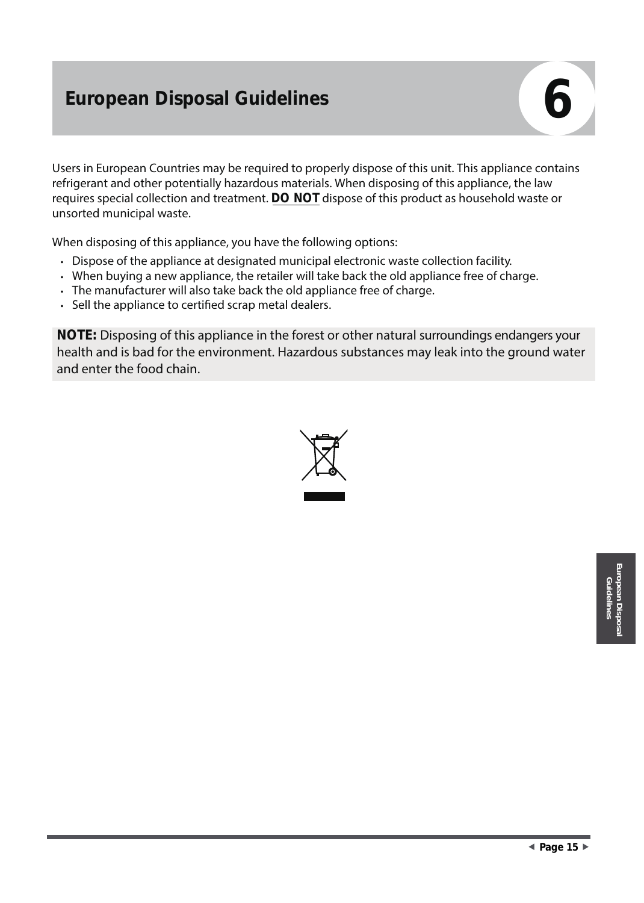## **European Disposal Guidelines 66 and 1997 (1998)**

Users in European Countries may be required to properly dispose of this unit. This appliance contains refrigerant and other potentially hazardous materials. When disposing of this appliance, the law requires special collection and treatment. **DO NOT** dispose of this product as household waste or unsorted municipal waste.

When disposing of this appliance, you have the following options:

- Dispose of the appliance at designated municipal electronic waste collection facility.
- When buying a new appliance, the retailer will take back the old appliance free of charge.
- The manufacturer will also take back the old appliance free of charge.
- Sell the appliance to certified scrap metal dealers.

**NOTE:** Disposing of this appliance in the forest or other natural surroundings endangers your health and is bad for the environment. Hazardous substances may leak into the ground water and enter the food chain.